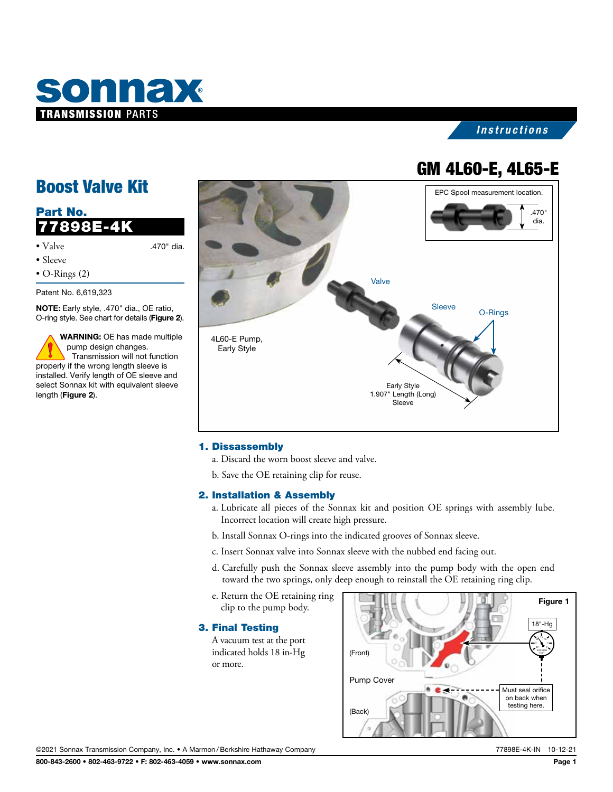

### *Instructions*

# GM 4L60-E, 4L65-E

## Boost Valve Kit

| Part No.<br>77898E-4K                                                                                                      |            |  |
|----------------------------------------------------------------------------------------------------------------------------|------------|--|
| $\bullet$ Valve<br>$\bullet$ Sleeve<br>$\bullet$ O-Rings (2)                                                               | .470" dia. |  |
| Patent No. 6,619,323<br><b>NOTE:</b> Early style, .470" dia., OE ratio,<br>O-ring style. See chart for details (Figure 2). |            |  |

WARNING: OE has made multiple pump design changes. Transmission will not function properly if the wrong length sleeve is installed. Verify length of OE sleeve and select Sonnax kit with equivalent sleeve length (Figure 2).



#### 1. Dissassembly

- a. Discard the worn boost sleeve and valve.
- b. Save the OE retaining clip for reuse.

#### 2. Installation & Assembly

- a. Lubricate all pieces of the Sonnax kit and position OE springs with assembly lube. Incorrect location will create high pressure.
- b. Install Sonnax O-rings into the indicated grooves of Sonnax sleeve.
- c. Insert Sonnax valve into Sonnax sleeve with the nubbed end facing out.
- d. Carefully push the Sonnax sleeve assembly into the pump body with the open end toward the two springs, only deep enough to reinstall the OE retaining ring clip.
- e. Return the OE retaining ring clip to the pump body.

#### 3. Final Testing

A vacuum test at the port indicated holds 18 in-Hg or more.



©2021 Sonnax Transmission Company, Inc. • A Marmon /Berkshire Hathaway Company 77898E-4K-IN 10-12-21